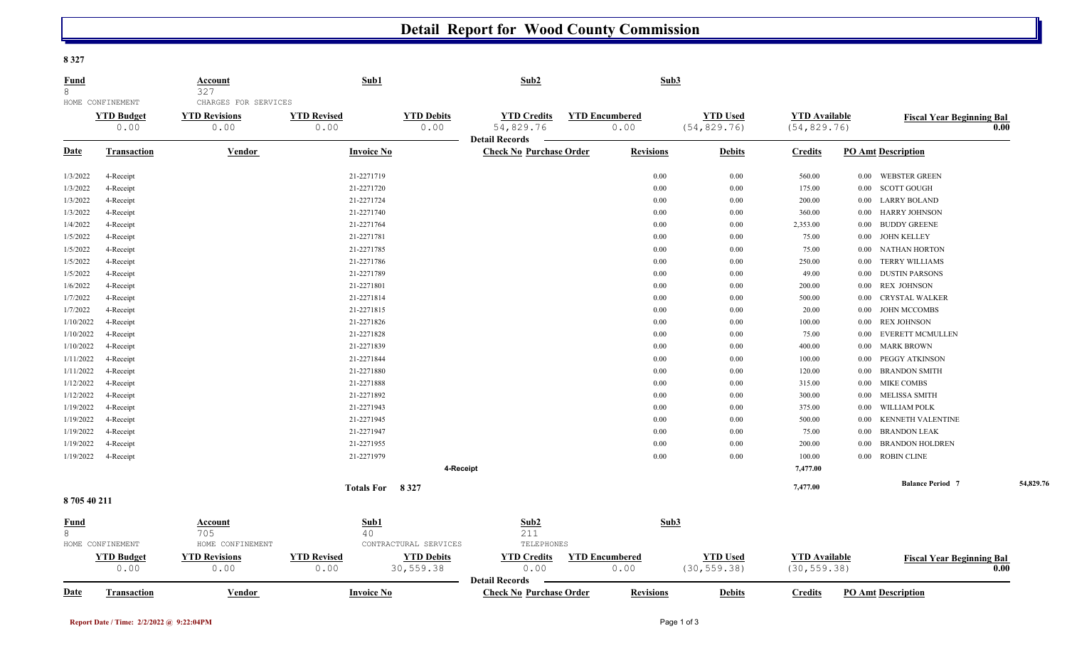## **Detail Report for Wood County Commission**

**8 327** 

| <u>Fund</u><br>8                              |                           | <b>Account</b><br>327                                | Sub1                                                    |                                | Sub2                                                    |                               | Sub <sub>3</sub> |                                 |                                      |          |                                          |           |
|-----------------------------------------------|---------------------------|------------------------------------------------------|---------------------------------------------------------|--------------------------------|---------------------------------------------------------|-------------------------------|------------------|---------------------------------|--------------------------------------|----------|------------------------------------------|-----------|
| HOME CONFINEMENT<br><b>YTD Budget</b><br>0.00 |                           | CHARGES FOR SERVICES<br><b>YTD Revisions</b><br>0.00 | <b>YTD Revised</b><br><b>YTD Debits</b><br>0.00<br>0.00 |                                | <b>YTD Credits</b><br>54,829.76                         | <b>YTD Encumbered</b><br>0.00 |                  | <b>YTD Used</b><br>(54, 829.76) | <b>YTD</b> Available<br>(54, 829.76) |          | <b>Fiscal Year Beginning Bal</b><br>0.00 |           |
| <u>Date</u>                                   | <b>Transaction</b>        | <u>Vendor</u>                                        | <b>Invoice No</b>                                       |                                | <b>Detail Records</b><br><b>Check No Purchase Order</b> |                               | <b>Revisions</b> | <b>Debits</b>                   | <b>Credits</b>                       |          | <b>PO Amt Description</b>                |           |
| 1/3/2022                                      | 4-Receipt                 |                                                      | 21-2271719                                              |                                |                                                         |                               | 0.00             | 0.00                            | 560.00                               | 0.00     | <b>WEBSTER GREEN</b>                     |           |
| 1/3/2022                                      | 4-Receipt                 |                                                      | 21-2271720                                              |                                |                                                         |                               | 0.00             | 0.00                            | 175.00                               | $0.00\,$ | <b>SCOTT GOUGH</b>                       |           |
| 1/3/2022                                      | 4-Receipt                 |                                                      | 21-2271724                                              |                                |                                                         |                               | 0.00             | 0.00                            | 200.00                               | $0.00\,$ | <b>LARRY BOLAND</b>                      |           |
| 1/3/2022                                      | 4-Receipt                 |                                                      | 21-2271740                                              |                                |                                                         |                               | 0.00             | $0.00\,$                        | 360.00                               | $0.00\,$ | <b>HARRY JOHNSON</b>                     |           |
| 1/4/2022                                      | 4-Receipt                 |                                                      | 21-2271764                                              |                                |                                                         |                               | 0.00             | 0.00                            | 2,353.00                             | $0.00\,$ | <b>BUDDY GREENE</b>                      |           |
| 1/5/2022                                      | 4-Receipt                 |                                                      | 21-2271781                                              |                                |                                                         |                               | 0.00             | 0.00                            | 75.00                                | $0.00\,$ | <b>JOHN KELLEY</b>                       |           |
| 1/5/2022                                      | 4-Receipt                 |                                                      | 21-2271785                                              |                                |                                                         |                               | 0.00             | 0.00                            | 75.00                                | $0.00\,$ | <b>NATHAN HORTON</b>                     |           |
| 1/5/2022                                      | 4-Receipt                 |                                                      | 21-2271786                                              |                                |                                                         |                               | 0.00             | 0.00                            | 250.00                               | 0.00     | <b>TERRY WILLIAMS</b>                    |           |
| 1/5/2022                                      | 4-Receipt                 |                                                      | 21-2271789                                              |                                |                                                         |                               | 0.00             | $0.00\,$                        | 49.00                                | $0.00\,$ | <b>DUSTIN PARSONS</b>                    |           |
| 1/6/2022                                      | 4-Receipt                 |                                                      | 21-2271801                                              |                                |                                                         |                               | 0.00             | 0.00                            | 200.00                               | $0.00\,$ | <b>REX JOHNSON</b>                       |           |
| 1/7/2022                                      | 4-Receipt                 |                                                      | 21-2271814                                              |                                |                                                         |                               | 0.00             | 0.00                            | 500.00                               | 0.00     | <b>CRYSTAL WALKER</b>                    |           |
| 1/7/2022                                      | 4-Receipt                 |                                                      | 21-2271815                                              |                                |                                                         |                               | 0.00             | 0.00                            | 20.00                                | $0.00\,$ | <b>JOHN MCCOMBS</b>                      |           |
| 1/10/2022                                     | 4-Receipt                 |                                                      | 21-2271826                                              |                                |                                                         |                               | 0.00             | 0.00                            | 100.00                               | $0.00\,$ | <b>REX JOHNSON</b>                       |           |
| 1/10/2022                                     | 4-Receipt                 |                                                      | 21-2271828                                              |                                |                                                         |                               | 0.00             | 0.00                            | 75.00                                | 0.00     | EVERETT MCMULLEN                         |           |
| 1/10/2022                                     | 4-Receipt                 |                                                      | 21-2271839                                              |                                |                                                         |                               | 0.00             | $0.00\,$                        | 400.00                               | $0.00\,$ | <b>MARK BROWN</b>                        |           |
| 1/11/2022                                     | 4-Receipt                 |                                                      | 21-2271844                                              |                                |                                                         |                               | 0.00             | 0.00                            | 100.00                               | $0.00\,$ | PEGGY ATKINSON                           |           |
| 1/11/2022                                     | 4-Receipt                 |                                                      | 21-2271880                                              |                                |                                                         |                               | 0.00             | 0.00                            | 120.00                               | 0.00     | <b>BRANDON SMITH</b>                     |           |
| 1/12/2022                                     | 4-Receipt                 |                                                      | 21-2271888                                              |                                |                                                         |                               | 0.00             | 0.00                            | 315.00                               | $0.00\,$ | <b>MIKE COMBS</b>                        |           |
| 1/12/2022                                     | 4-Receipt                 |                                                      | 21-2271892                                              |                                |                                                         |                               | 0.00             | 0.00                            | 300.00                               | $0.00\,$ | <b>MELISSA SMITH</b>                     |           |
| 1/19/2022                                     | 4-Receipt                 |                                                      | 21-2271943                                              |                                |                                                         |                               | 0.00             | 0.00                            | 375.00                               | $0.00\,$ | <b>WILLIAM POLK</b>                      |           |
| 1/19/2022                                     | 4-Receipt                 |                                                      | 21-2271945                                              |                                |                                                         |                               | 0.00             | $0.00\,$                        | 500.00                               | 0.00     | KENNETH VALENTINE                        |           |
| 1/19/2022                                     | 4-Receipt                 |                                                      | 21-2271947                                              |                                |                                                         |                               | 0.00             | 0.00                            | 75.00                                | 0.00     | <b>BRANDON LEAK</b>                      |           |
| 1/19/2022                                     | 4-Receipt                 |                                                      | 21-2271955                                              |                                |                                                         |                               | 0.00             | $0.00\,$                        | 200.00                               | $0.00\,$ | <b>BRANDON HOLDREN</b>                   |           |
| 1/19/2022                                     | 4-Receipt                 |                                                      | 21-2271979                                              |                                |                                                         |                               | 0.00             | 0.00                            | 100.00                               | 0.00     | <b>ROBIN CLINE</b>                       |           |
|                                               |                           |                                                      |                                                         | 4-Receipt                      |                                                         |                               |                  |                                 | 7,477.00                             |          |                                          |           |
|                                               |                           |                                                      | Totals For 8327                                         |                                |                                                         |                               |                  |                                 | 7,477.00                             |          | <b>Balance Period 7</b>                  | 54,829.76 |
| 870540211                                     |                           |                                                      |                                                         |                                |                                                         |                               |                  |                                 |                                      |          |                                          |           |
| <u>Fund</u><br>8                              | HOME CONFINEMENT          | <u>Account</u><br>705<br>HOME CONFINEMENT            | Sub1<br>40                                              | CONTRACTURAL SERVICES          | Sub2<br>211<br>TELEPHONES                               |                               | Sub3             |                                 |                                      |          |                                          |           |
|                                               | <b>YTD Budget</b><br>0.00 | <b>YTD Revisions</b><br>0.00                         | <b>YTD Revised</b><br>0.00                              | <b>YTD Debits</b><br>30,559.38 | <b>YTD Credits</b><br>0.00<br><b>Detail Records</b>     | <b>YTD Encumbered</b><br>0.00 |                  | <b>YTD Used</b><br>(30, 559.38) | <b>YTD Available</b><br>(30, 559.38) |          | <b>Fiscal Year Beginning Bal</b>         | 0.00      |
| Date                                          | <b>Transaction</b>        | Vendor                                               | <b>Invoice No</b>                                       |                                | <b>Check No Purchase Order</b>                          |                               | <b>Revisions</b> | <b>Debits</b>                   | <b>Credits</b>                       |          | <b>PO Amt Description</b>                |           |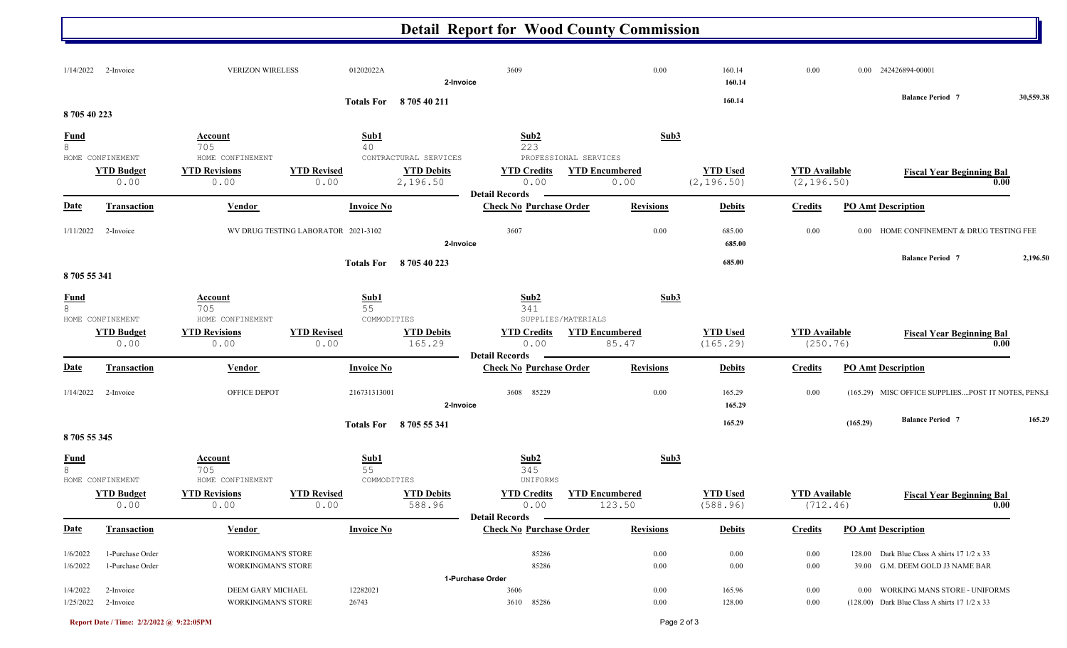## **Detail Report for Wood County Commission**

| $1/14/2022$ 2-Invoice |                                      | <b>VERIZON WIRELESS</b>                                | 01202022A                           |                               | 3609<br>2-Invoice                                       | 0.00                            | 160.14<br>160.14               | 0.00                                |          | 0.00 242426894-00001                                                                           |           |
|-----------------------|--------------------------------------|--------------------------------------------------------|-------------------------------------|-------------------------------|---------------------------------------------------------|---------------------------------|--------------------------------|-------------------------------------|----------|------------------------------------------------------------------------------------------------|-----------|
| 870540223             |                                      |                                                        |                                     | Totals For 870540211          |                                                         |                                 | 160.14                         |                                     |          | <b>Balance Period 7</b>                                                                        | 30,559.38 |
| <b>Fund</b><br>8      | HOME CONFINEMENT                     | <b>Account</b><br>705<br>HOME CONFINEMENT              | Sub1<br>40                          | CONTRACTURAL SERVICES         | Sub2<br>223<br>PROFESSIONAL SERVICES                    | Sub3                            |                                |                                     |          |                                                                                                |           |
|                       | <b>YTD Budget</b><br>0.00            | <b>YTD Revisions</b><br>0.00                           | <b>YTD Revised</b><br>0.00          | <b>YTD Debits</b><br>2,196.50 | <b>YTD Credits</b><br>0.00<br><b>Detail Records</b>     | <b>YTD Encumbered</b><br>0.00   | <b>YTD Used</b><br>(2, 196.50) | <b>YTD</b> Available<br>(2, 196.50) |          | <b>Fiscal Year Beginning Bal</b><br>0.00                                                       |           |
| <b>Date</b>           | <b>Transaction</b>                   | <b>Vendor</b>                                          | <b>Invoice No</b>                   |                               | <b>Check No Purchase Order</b>                          | <b>Revisions</b>                | <b>Debits</b>                  | <b>Credits</b>                      |          | <b>PO Amt Description</b>                                                                      |           |
|                       | $1/11/2022$ 2-Invoice                |                                                        | WV DRUG TESTING LABORATOR 2021-3102 |                               | 3607<br>2-Invoice                                       | 0.00                            | 685.00<br>685.00               | 0.00                                |          | 0.00 HOME CONFINEMENT & DRUG TESTING FEE                                                       |           |
| 870555341             |                                      |                                                        |                                     | Totals For 8 705 40 223       |                                                         |                                 | 685.00                         |                                     |          | <b>Balance Period 7</b>                                                                        | 2,196.50  |
| $rac{\text{Fund}}{8}$ | HOME CONFINEMENT                     | <b>Account</b><br>705<br>HOME CONFINEMENT              | Sub1<br>55<br>COMMODITIES           |                               | Sub2<br>341<br>SUPPLIES/MATERIALS                       | Sub3                            |                                |                                     |          |                                                                                                |           |
|                       | <b>YTD Budget</b><br>0.00            | <b>YTD Revisions</b><br>0.00                           | <b>YTD Revised</b><br>0.00          | <b>YTD Debits</b><br>165.29   | <b>YTD Credits</b><br>0.00<br><b>Detail Records</b>     | <b>YTD Encumbered</b><br>85.47  | <b>YTD Used</b><br>(165.29)    | <b>YTD</b> Available<br>(250.76)    |          | <b>Fiscal Year Beginning Bal</b><br>0.00                                                       |           |
| <b>Date</b>           | Transaction                          | Vendor                                                 | <b>Invoice No</b>                   |                               | <b>Check No Purchase Order</b>                          | <b>Revisions</b>                | <b>Debits</b>                  | <b>Credits</b>                      |          | <b>PO Amt Description</b>                                                                      |           |
| 1/14/2022             | 2-Invoice                            | OFFICE DEPOT                                           | 216731313001                        |                               | 3608 85229<br>2-Invoice                                 | 0.00                            | 165.29<br>165.29               | 0.00                                |          | (165.29) MISC OFFICE SUPPLIESPOST IT NOTES, PENS, I                                            |           |
| 870555345             |                                      |                                                        |                                     | Totals For 8705 55 341        |                                                         |                                 | 165.29                         |                                     | (165.29) | <b>Balance Period 7</b>                                                                        | 165.29    |
| $\frac{Fund}{8}$      | HOME CONFINEMENT                     | <b>Account</b><br>705<br>HOME CONFINEMENT              | Sub1<br>55<br>COMMODITIES           |                               | Sub2<br>345<br>UNIFORMS                                 | Sub3                            |                                |                                     |          |                                                                                                |           |
|                       | <b>YTD Budget</b><br>0.00            | <b>YTD Revisions</b><br>0.00                           | <b>YTD Revised</b><br>0.00          | <b>YTD Debits</b><br>588.96   | <b>YTD Credits</b><br>0.00                              | <b>YTD Encumbered</b><br>123.50 | <b>YTD Used</b><br>(588.96)    | <b>YTD</b> Available<br>(712.46)    |          | <b>Fiscal Year Beginning Bal</b><br>0.00                                                       |           |
|                       | Date Transaction                     | <b>Vendor</b>                                          | <b>Invoice No</b>                   |                               | <b>Detail Records</b><br><b>Check No Purchase Order</b> | <b>Revisions</b>                | <b>Debits</b>                  |                                     |          | <b>Credits</b> PO Amt Description                                                              |           |
| 1/6/2022<br>1/6/2022  | 1-Purchase Order<br>1-Purchase Order | <b>WORKINGMAN'S STORE</b><br><b>WORKINGMAN'S STORE</b> |                                     |                               | 85286<br>85286                                          | $0.00\,$<br>$0.00\,$            | 0.00<br>$0.00\,$               | $0.00\,$<br>0.00                    |          | 128.00 Dark Blue Class A shirts $17 \frac{1}{2} \times 33$<br>39.00 G.M. DEEM GOLD J3 NAME BAR |           |
| 1/4/2022              | 2-Invoice                            | DEEM GARY MICHAEL                                      | 12282021                            |                               | 1-Purchase Order<br>3606                                | 0.00                            | 165.96                         | 0.00                                |          | 0.00 WORKING MANS STORE - UNIFORMS                                                             |           |
| 1/25/2022             | 2-Invoice                            | <b>WORKINGMAN'S STORE</b>                              | 26743                               |                               | 3610 85286                                              | $0.00\,$                        | 128.00                         | 0.00                                |          | $(128.00)$ Dark Blue Class A shirts 17 1/2 x 33                                                |           |